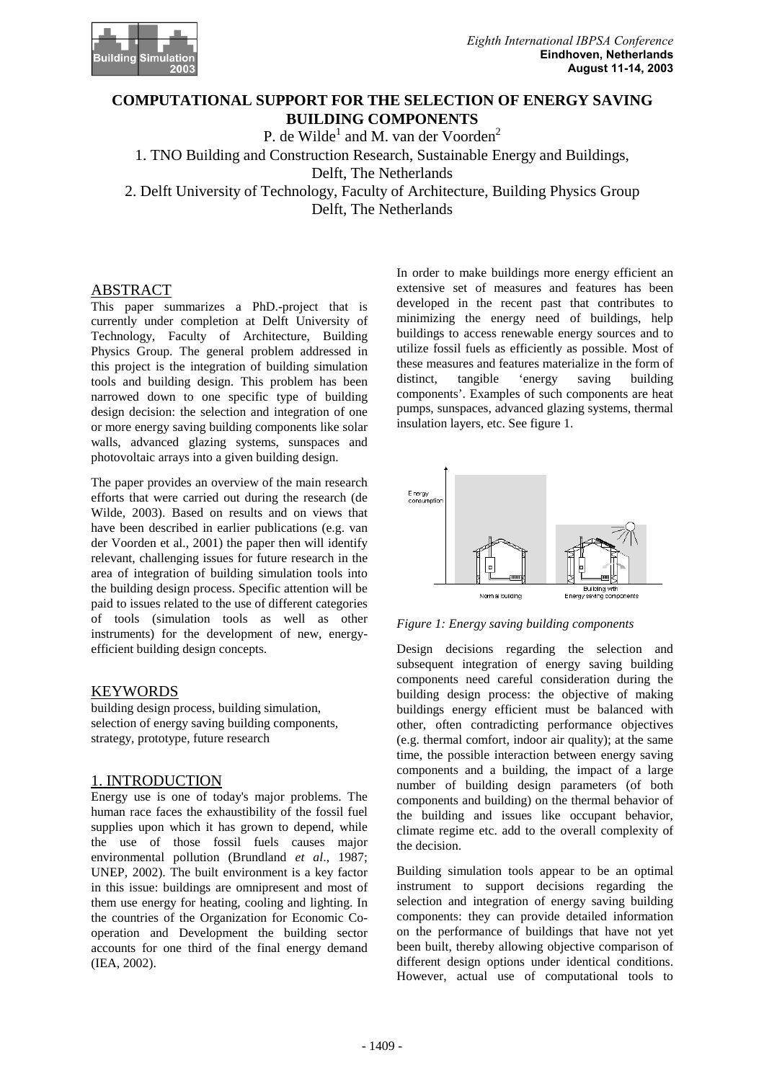

### **COMPUTATIONAL SUPPORT FOR THE SELECTION OF ENERGY SAVING BUILDING COMPONENTS**

P. de Wilde $^1$  and M. van der Voorden $^2$ 1. TNO Building and Construction Research, Sustainable Energy and Buildings, Delft, The Netherlands 2. Delft University of Technology, Faculty of Architecture, Building Physics Group Delft, The Netherlands

#### ABSTRACT

This paper summarizes a PhD.-project that is currently under completion at Delft University of Technology, Faculty of Architecture, Building Physics Group. The general problem addressed in this project is the integration of building simulation tools and building design. This problem has been narrowed down to one specific type of building design decision: the selection and integration of one or more energy saving building components like solar walls, advanced glazing systems, sunspaces and photovoltaic arrays into a given building design.

The paper provides an overview of the main research efforts that were carried out during the research (de Wilde, 2003). Based on results and on views that have been described in earlier publications (e.g. van der Voorden et al., 2001) the paper then will identify relevant, challenging issues for future research in the area of integration of building simulation tools into the building design process. Specific attention will be paid to issues related to the use of different categories of tools (simulation tools as well as other instruments) for the development of new, energyefficient building design concepts.

#### **KEYWORDS**

building design process, building simulation, selection of energy saving building components, strategy, prototype, future research

### 1. INTRODUCTION

Energy use is one of today's major problems. The human race faces the exhaustibility of the fossil fuel supplies upon which it has grown to depend, while the use of those fossil fuels causes major environmental pollution (Brundland *et al*., 1987; UNEP, 2002). The built environment is a key factor in this issue: buildings are omnipresent and most of them use energy for heating, cooling and lighting. In the countries of the Organization for Economic Cooperation and Development the building sector accounts for one third of the final energy demand (IEA, 2002).

In order to make buildings more energy efficient an extensive set of measures and features has been developed in the recent past that contributes to minimizing the energy need of buildings, help buildings to access renewable energy sources and to utilize fossil fuels as efficiently as possible. Most of these measures and features materialize in the form of distinct, tangible 'energy saving building components'. Examples of such components are heat pumps, sunspaces, advanced glazing systems, thermal insulation layers, etc. See figure 1.



*Figure 1: Energy saving building components* 

Design decisions regarding the selection and subsequent integration of energy saving building components need careful consideration during the building design process: the objective of making buildings energy efficient must be balanced with other, often contradicting performance objectives (e.g. thermal comfort, indoor air quality); at the same time, the possible interaction between energy saving components and a building, the impact of a large number of building design parameters (of both components and building) on the thermal behavior of the building and issues like occupant behavior, climate regime etc. add to the overall complexity of the decision.

Building simulation tools appear to be an optimal instrument to support decisions regarding the selection and integration of energy saving building components: they can provide detailed information on the performance of buildings that have not yet been built, thereby allowing objective comparison of different design options under identical conditions. However, actual use of computational tools to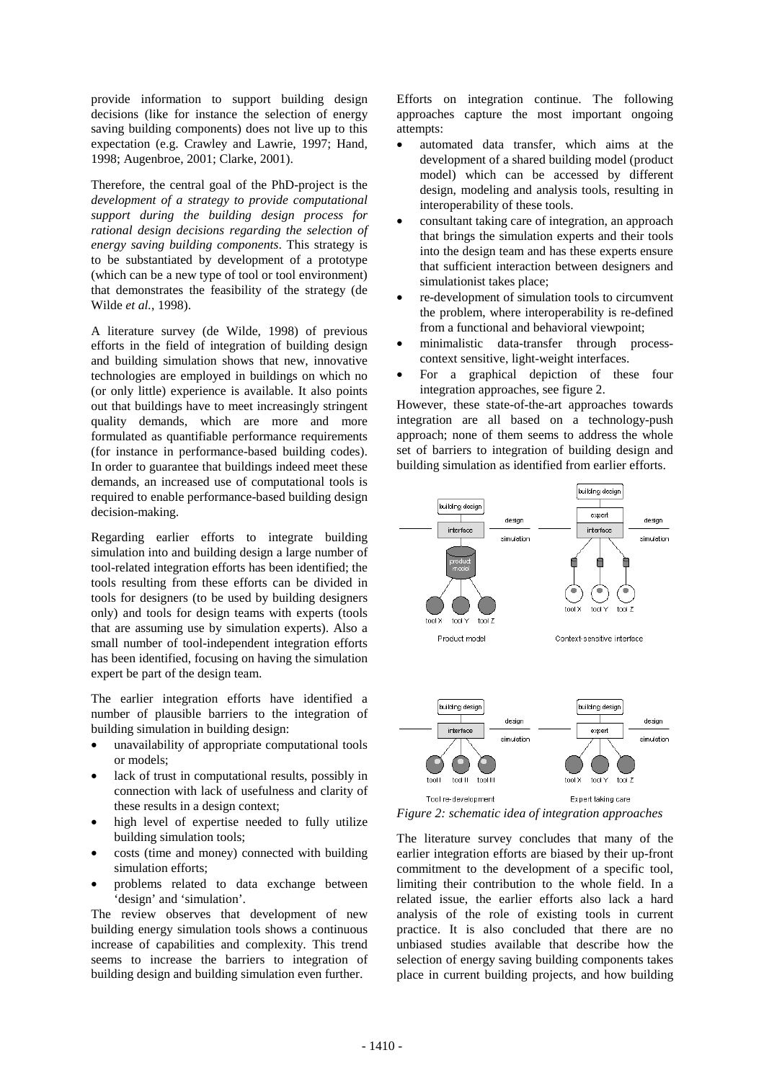provide information to support building design decisions (like for instance the selection of energy saving building components) does not live up to this expectation (e.g. Crawley and Lawrie, 1997; Hand, 1998; Augenbroe, 2001; Clarke, 2001).

Therefore, the central goal of the PhD-project is the *development of a strategy to provide computational support during the building design process for rational design decisions regarding the selection of energy saving building components*. This strategy is to be substantiated by development of a prototype (which can be a new type of tool or tool environment) that demonstrates the feasibility of the strategy (de Wilde *et al.*, 1998).

A literature survey (de Wilde, 1998) of previous efforts in the field of integration of building design and building simulation shows that new, innovative technologies are employed in buildings on which no (or only little) experience is available. It also points out that buildings have to meet increasingly stringent quality demands, which are more and more formulated as quantifiable performance requirements (for instance in performance-based building codes). In order to guarantee that buildings indeed meet these demands, an increased use of computational tools is required to enable performance-based building design decision-making.

Regarding earlier efforts to integrate building simulation into and building design a large number of tool-related integration efforts has been identified; the tools resulting from these efforts can be divided in tools for designers (to be used by building designers only) and tools for design teams with experts (tools that are assuming use by simulation experts). Also a small number of tool-independent integration efforts has been identified, focusing on having the simulation expert be part of the design team.

The earlier integration efforts have identified a number of plausible barriers to the integration of building simulation in building design:

- unavailability of appropriate computational tools or models;
- lack of trust in computational results, possibly in connection with lack of usefulness and clarity of these results in a design context;
- high level of expertise needed to fully utilize building simulation tools;
- costs (time and money) connected with building simulation efforts;
- problems related to data exchange between 'design' and 'simulation'.

The review observes that development of new building energy simulation tools shows a continuous increase of capabilities and complexity. This trend seems to increase the barriers to integration of building design and building simulation even further.

Efforts on integration continue. The following approaches capture the most important ongoing attempts:

- automated data transfer, which aims at the development of a shared building model (product model) which can be accessed by different design, modeling and analysis tools, resulting in interoperability of these tools.
- consultant taking care of integration, an approach that brings the simulation experts and their tools into the design team and has these experts ensure that sufficient interaction between designers and simulationist takes place;
- re-development of simulation tools to circumvent the problem, where interoperability is re-defined from a functional and behavioral viewpoint;
- minimalistic data-transfer through processcontext sensitive, light-weight interfaces.
- For a graphical depiction of these four integration approaches, see figure 2.

However, these state-of-the-art approaches towards integration are all based on a technology-push approach; none of them seems to address the whole set of barriers to integration of building design and building simulation as identified from earlier efforts.



*Figure 2: schematic idea of integration approaches* 

The literature survey concludes that many of the earlier integration efforts are biased by their up-front commitment to the development of a specific tool, limiting their contribution to the whole field. In a related issue, the earlier efforts also lack a hard analysis of the role of existing tools in current practice. It is also concluded that there are no unbiased studies available that describe how the selection of energy saving building components takes place in current building projects, and how building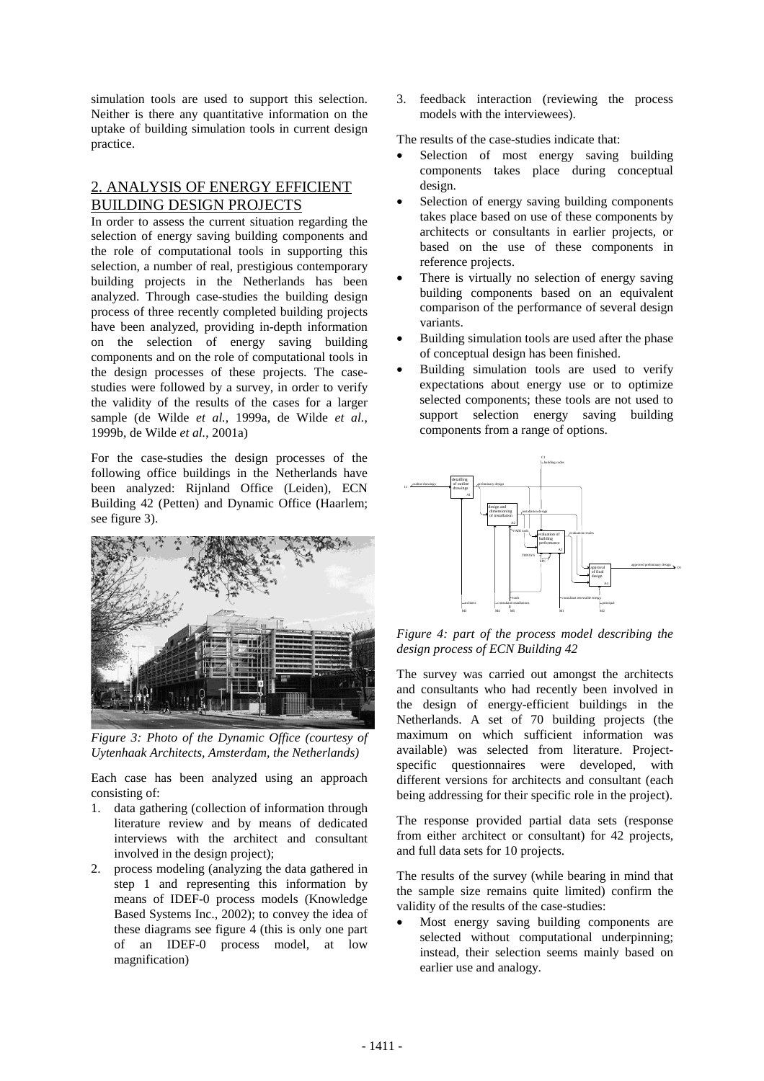simulation tools are used to support this selection. Neither is there any quantitative information on the uptake of building simulation tools in current design practice.

# 2. ANALYSIS OF ENERGY EFFICIENT BUILDING DESIGN PROJECTS

In order to assess the current situation regarding the selection of energy saving building components and the role of computational tools in supporting this selection, a number of real, prestigious contemporary building projects in the Netherlands has been analyzed. Through case-studies the building design process of three recently completed building projects have been analyzed, providing in-depth information on the selection of energy saving building components and on the role of computational tools in the design processes of these projects. The casestudies were followed by a survey, in order to verify the validity of the results of the cases for a larger sample (de Wilde *et al.*, 1999a, de Wilde *et al.*, 1999b, de Wilde *et al.*, 2001a)

For the case-studies the design processes of the following office buildings in the Netherlands have been analyzed: Rijnland Office (Leiden), ECN Building 42 (Petten) and Dynamic Office (Haarlem; see figure 3).



*Figure 3: Photo of the Dynamic Office (courtesy of Uytenhaak Architects, Amsterdam, the Netherlands)* 

Each case has been analyzed using an approach consisting of:

- 1. data gathering (collection of information through literature review and by means of dedicated interviews with the architect and consultant involved in the design project);
- 2. process modeling (analyzing the data gathered in step 1 and representing this information by means of IDEF-0 process models (Knowledge Based Systems Inc., 2002); to convey the idea of these diagrams see figure 4 (this is only one part of an IDEF-0 process model, at low magnification)

3. feedback interaction (reviewing the process models with the interviewees).

The results of the case-studies indicate that:

- Selection of most energy saving building components takes place during conceptual design.
- Selection of energy saving building components takes place based on use of these components by architects or consultants in earlier projects, or based on the use of these components in reference projects.
- There is virtually no selection of energy saving building components based on an equivalent comparison of the performance of several design variants.
- Building simulation tools are used after the phase of conceptual design has been finished.
- Building simulation tools are used to verify expectations about energy use or to optimize selected components; these tools are not used to support selection energy saving building components from a range of options.



*Figure 4: part of the process model describing the design process of ECN Building 42* 

The survey was carried out amongst the architects and consultants who had recently been involved in the design of energy-efficient buildings in the Netherlands. A set of 70 building projects (the maximum on which sufficient information was available) was selected from literature. Projectspecific questionnaires were developed, with different versions for architects and consultant (each being addressing for their specific role in the project).

The response provided partial data sets (response from either architect or consultant) for 42 projects, and full data sets for 10 projects.

The results of the survey (while bearing in mind that the sample size remains quite limited) confirm the validity of the results of the case-studies:

• Most energy saving building components are selected without computational underpinning; instead, their selection seems mainly based on earlier use and analogy.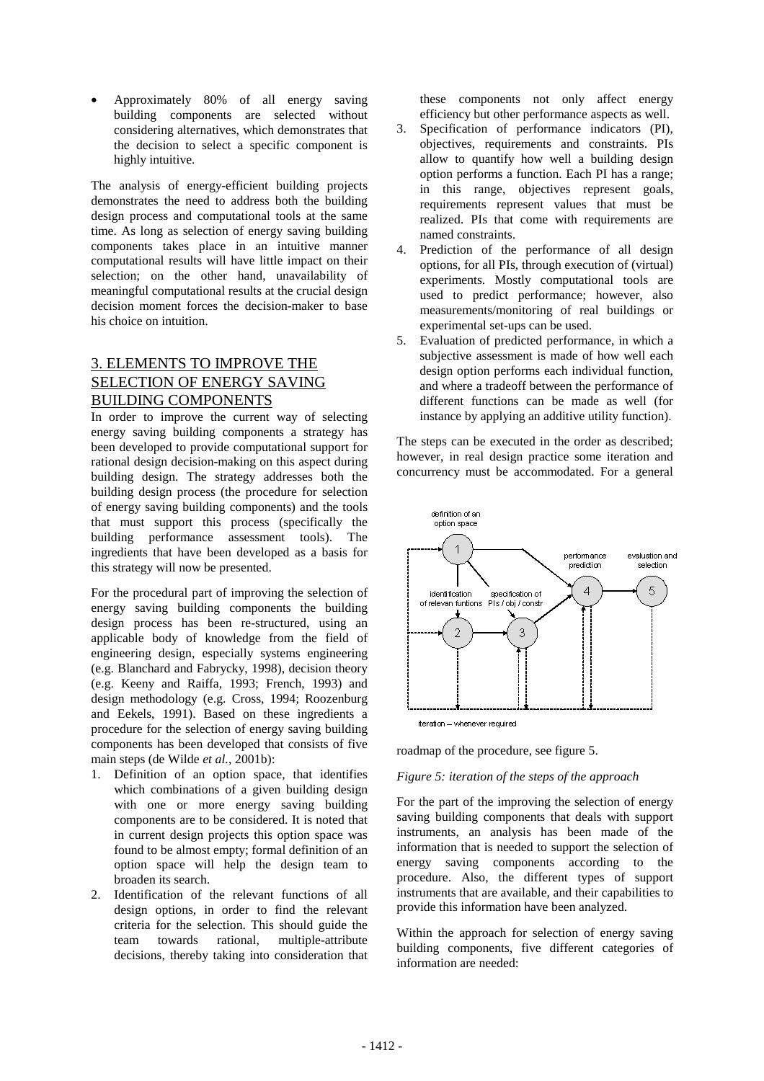• Approximately 80% of all energy saving building components are selected without considering alternatives, which demonstrates that the decision to select a specific component is highly intuitive.

The analysis of energy-efficient building projects demonstrates the need to address both the building design process and computational tools at the same time. As long as selection of energy saving building components takes place in an intuitive manner computational results will have little impact on their selection; on the other hand, unavailability of meaningful computational results at the crucial design decision moment forces the decision-maker to base his choice on intuition.

# 3. ELEMENTS TO IMPROVE THE SELECTION OF ENERGY SAVING BUILDING COMPONENTS

In order to improve the current way of selecting energy saving building components a strategy has been developed to provide computational support for rational design decision-making on this aspect during building design. The strategy addresses both the building design process (the procedure for selection of energy saving building components) and the tools that must support this process (specifically the building performance assessment tools). The ingredients that have been developed as a basis for this strategy will now be presented.

For the procedural part of improving the selection of energy saving building components the building design process has been re-structured, using an applicable body of knowledge from the field of engineering design, especially systems engineering (e.g. Blanchard and Fabrycky, 1998), decision theory (e.g. Keeny and Raiffa, 1993; French, 1993) and design methodology (e.g. Cross, 1994; Roozenburg and Eekels, 1991). Based on these ingredients a procedure for the selection of energy saving building components has been developed that consists of five main steps (de Wilde *et al.*, 2001b):

- 1. Definition of an option space, that identifies which combinations of a given building design with one or more energy saving building components are to be considered. It is noted that in current design projects this option space was found to be almost empty; formal definition of an option space will help the design team to broaden its search.
- 2. Identification of the relevant functions of all design options, in order to find the relevant criteria for the selection. This should guide the team towards rational, multiple-attribute decisions, thereby taking into consideration that

these components not only affect energy efficiency but other performance aspects as well.

- 3. Specification of performance indicators (PI), objectives, requirements and constraints. PIs allow to quantify how well a building design option performs a function. Each PI has a range; in this range, objectives represent goals, requirements represent values that must be realized. PIs that come with requirements are named constraints.
- 4. Prediction of the performance of all design options, for all PIs, through execution of (virtual) experiments. Mostly computational tools are used to predict performance; however, also measurements/monitoring of real buildings or experimental set-ups can be used.
- 5. Evaluation of predicted performance, in which a subjective assessment is made of how well each design option performs each individual function, and where a tradeoff between the performance of different functions can be made as well (for instance by applying an additive utility function).

The steps can be executed in the order as described; however, in real design practice some iteration and concurrency must be accommodated. For a general



roadmap of the procedure, see figure 5.

#### *Figure 5: iteration of the steps of the approach*

For the part of the improving the selection of energy saving building components that deals with support instruments, an analysis has been made of the information that is needed to support the selection of energy saving components according to the procedure. Also, the different types of support instruments that are available, and their capabilities to provide this information have been analyzed.

Within the approach for selection of energy saving building components, five different categories of information are needed: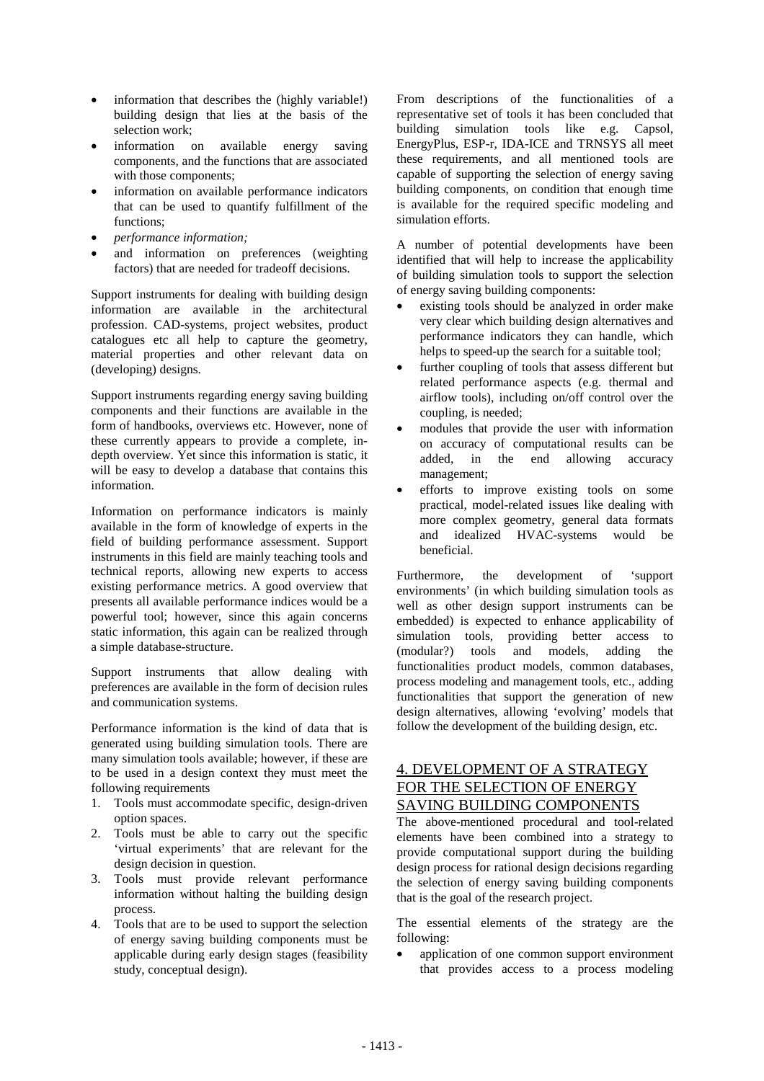- information that describes the (highly variable!) building design that lies at the basis of the selection work;
- information on available energy saving components, and the functions that are associated with those components;
- information on available performance indicators that can be used to quantify fulfillment of the functions:
- *performance information;*
- and information on preferences (weighting factors) that are needed for tradeoff decisions.

Support instruments for dealing with building design information are available in the architectural profession. CAD-systems, project websites, product catalogues etc all help to capture the geometry, material properties and other relevant data on (developing) designs.

Support instruments regarding energy saving building components and their functions are available in the form of handbooks, overviews etc. However, none of these currently appears to provide a complete, indepth overview. Yet since this information is static, it will be easy to develop a database that contains this information.

Information on performance indicators is mainly available in the form of knowledge of experts in the field of building performance assessment. Support instruments in this field are mainly teaching tools and technical reports, allowing new experts to access existing performance metrics. A good overview that presents all available performance indices would be a powerful tool; however, since this again concerns static information, this again can be realized through a simple database-structure.

Support instruments that allow dealing with preferences are available in the form of decision rules and communication systems.

Performance information is the kind of data that is generated using building simulation tools. There are many simulation tools available; however, if these are to be used in a design context they must meet the following requirements

- 1. Tools must accommodate specific, design-driven option spaces.
- 2. Tools must be able to carry out the specific 'virtual experiments' that are relevant for the design decision in question.
- 3. Tools must provide relevant performance information without halting the building design process.
- 4. Tools that are to be used to support the selection of energy saving building components must be applicable during early design stages (feasibility study, conceptual design).

From descriptions of the functionalities of a representative set of tools it has been concluded that building simulation tools like e.g. Capsol, EnergyPlus, ESP-r, IDA-ICE and TRNSYS all meet these requirements, and all mentioned tools are capable of supporting the selection of energy saving building components, on condition that enough time is available for the required specific modeling and simulation efforts.

A number of potential developments have been identified that will help to increase the applicability of building simulation tools to support the selection of energy saving building components:

- existing tools should be analyzed in order make very clear which building design alternatives and performance indicators they can handle, which helps to speed-up the search for a suitable tool;
- further coupling of tools that assess different but related performance aspects (e.g. thermal and airflow tools), including on/off control over the coupling, is needed;
- modules that provide the user with information on accuracy of computational results can be added, in the end allowing accuracy management;
- efforts to improve existing tools on some practical, model-related issues like dealing with more complex geometry, general data formats and idealized HVAC-systems would be beneficial.

Furthermore, the development of 'support environments' (in which building simulation tools as well as other design support instruments can be embedded) is expected to enhance applicability of simulation tools, providing better access to (modular?) tools and models, adding the functionalities product models, common databases, process modeling and management tools, etc., adding functionalities that support the generation of new design alternatives, allowing 'evolving' models that follow the development of the building design, etc.

## 4. DEVELOPMENT OF A STRATEGY FOR THE SELECTION OF ENERGY SAVING BUILDING COMPONENTS

The above-mentioned procedural and tool-related elements have been combined into a strategy to provide computational support during the building design process for rational design decisions regarding the selection of energy saving building components that is the goal of the research project.

The essential elements of the strategy are the following:

• application of one common support environment that provides access to a process modeling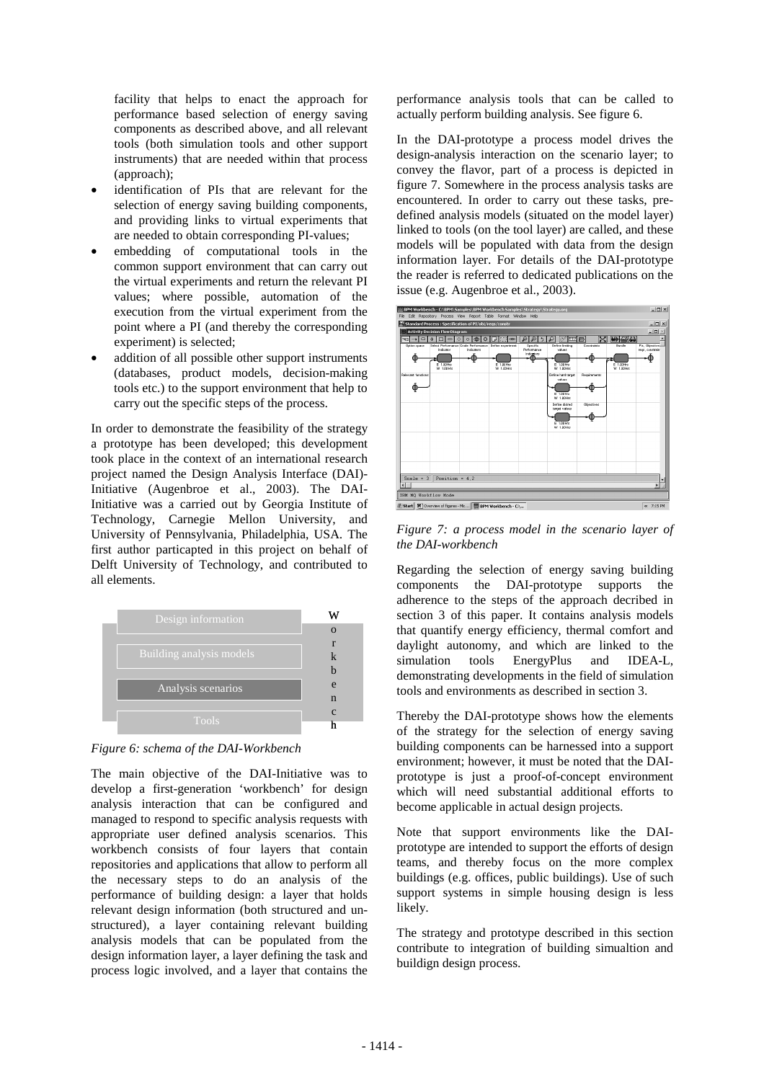facility that helps to enact the approach for performance based selection of energy saving components as described above, and all relevant tools (both simulation tools and other support instruments) that are needed within that process (approach);

- identification of PIs that are relevant for the selection of energy saving building components, and providing links to virtual experiments that are needed to obtain corresponding PI-values;
- embedding of computational tools in the common support environment that can carry out the virtual experiments and return the relevant PI values; where possible, automation of the execution from the virtual experiment from the point where a PI (and thereby the corresponding experiment) is selected;
- addition of all possible other support instruments (databases, product models, decision-making tools etc.) to the support environment that help to carry out the specific steps of the process.

In order to demonstrate the feasibility of the strategy a prototype has been developed; this development took place in the context of an international research project named the Design Analysis Interface (DAI)- Initiative (Augenbroe et al., 2003). The DAI-Initiative was a carried out by Georgia Institute of Technology, Carnegie Mellon University, and University of Pennsylvania, Philadelphia, USA. The first author particapted in this project on behalf of Delft University of Technology, and contributed to all elements.



*Figure 6: schema of the DAI-Workbench*

The main objective of the DAI-Initiative was to develop a first-generation 'workbench' for design analysis interaction that can be configured and managed to respond to specific analysis requests with appropriate user defined analysis scenarios. This workbench consists of four layers that contain repositories and applications that allow to perform all the necessary steps to do an analysis of the performance of building design: a layer that holds relevant design information (both structured and unstructured), a layer containing relevant building analysis models that can be populated from the design information layer, a layer defining the task and process logic involved, and a layer that contains the

performance analysis tools that can be called to actually perform building analysis. See figure 6.

In the DAI-prototype a process model drives the design-analysis interaction on the scenario layer; to convey the flavor, part of a process is depicted in figure 7. Somewhere in the process analysis tasks are encountered. In order to carry out these tasks, predefined analysis models (situated on the model layer) linked to tools (on the tool layer) are called, and these models will be populated with data from the design information layer. For details of the DAI-prototype the reader is referred to dedicated publications on the issue (e.g. Augenbroe et al., 2003).



*Figure 7: a process model in the scenario layer of the DAI-workbench* 

Regarding the selection of energy saving building components the DAI-prototype supports the adherence to the steps of the approach decribed in section 3 of this paper. It contains analysis models that quantify energy efficiency, thermal comfort and daylight autonomy, and which are linked to the simulation tools EnergyPlus and IDEA-L, demonstrating developments in the field of simulation tools and environments as described in section 3.

Thereby the DAI-prototype shows how the elements of the strategy for the selection of energy saving building components can be harnessed into a support environment; however, it must be noted that the DAIprototype is just a proof-of-concept environment which will need substantial additional efforts to become applicable in actual design projects.

Note that support environments like the DAIprototype are intended to support the efforts of design teams, and thereby focus on the more complex buildings (e.g. offices, public buildings). Use of such support systems in simple housing design is less likely.

The strategy and prototype described in this section contribute to integration of building simualtion and buildign design process.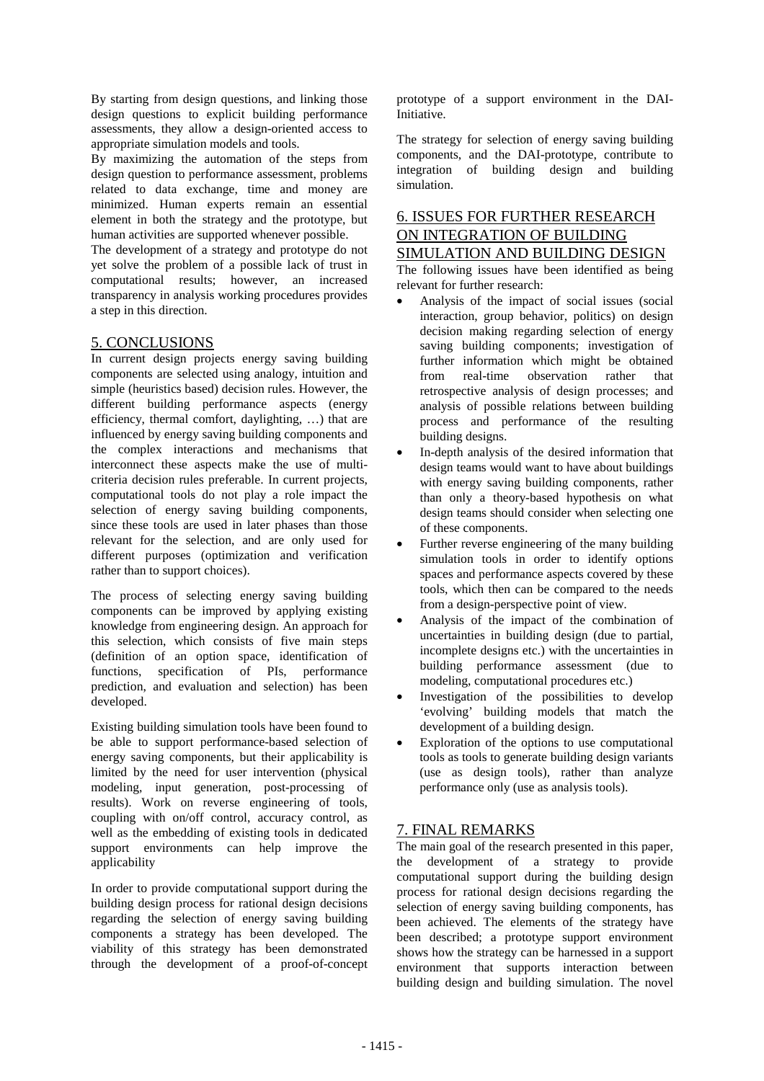By starting from design questions, and linking those design questions to explicit building performance assessments, they allow a design-oriented access to appropriate simulation models and tools.

By maximizing the automation of the steps from design question to performance assessment, problems related to data exchange, time and money are minimized. Human experts remain an essential element in both the strategy and the prototype, but human activities are supported whenever possible.

The development of a strategy and prototype do not yet solve the problem of a possible lack of trust in computational results; however, an increased transparency in analysis working procedures provides a step in this direction.

### 5. CONCLUSIONS

In current design projects energy saving building components are selected using analogy, intuition and simple (heuristics based) decision rules. However, the different building performance aspects (energy efficiency, thermal comfort, daylighting, …) that are influenced by energy saving building components and the complex interactions and mechanisms that interconnect these aspects make the use of multicriteria decision rules preferable. In current projects, computational tools do not play a role impact the selection of energy saving building components, since these tools are used in later phases than those relevant for the selection, and are only used for different purposes (optimization and verification rather than to support choices).

The process of selecting energy saving building components can be improved by applying existing knowledge from engineering design. An approach for this selection, which consists of five main steps (definition of an option space, identification of functions, specification of PIs, performance prediction, and evaluation and selection) has been developed.

Existing building simulation tools have been found to be able to support performance-based selection of energy saving components, but their applicability is limited by the need for user intervention (physical modeling, input generation, post-processing of results). Work on reverse engineering of tools, coupling with on/off control, accuracy control, as well as the embedding of existing tools in dedicated support environments can help improve the applicability

In order to provide computational support during the building design process for rational design decisions regarding the selection of energy saving building components a strategy has been developed. The viability of this strategy has been demonstrated through the development of a proof-of-concept

prototype of a support environment in the DAI-Initiative.

The strategy for selection of energy saving building components, and the DAI-prototype, contribute to integration of building design and building simulation.

# 6. ISSUES FOR FURTHER RESEARCH ON INTEGRATION OF BUILDING

### SIMULATION AND BUILDING DESIGN

The following issues have been identified as being relevant for further research:

- Analysis of the impact of social issues (social interaction, group behavior, politics) on design decision making regarding selection of energy saving building components; investigation of further information which might be obtained from real-time observation rather that retrospective analysis of design processes; and analysis of possible relations between building process and performance of the resulting building designs.
- In-depth analysis of the desired information that design teams would want to have about buildings with energy saving building components, rather than only a theory-based hypothesis on what design teams should consider when selecting one of these components.
- Further reverse engineering of the many building simulation tools in order to identify options spaces and performance aspects covered by these tools, which then can be compared to the needs from a design-perspective point of view.
- Analysis of the impact of the combination of uncertainties in building design (due to partial, incomplete designs etc.) with the uncertainties in building performance assessment (due to modeling, computational procedures etc.)
- Investigation of the possibilities to develop 'evolving' building models that match the development of a building design.
- Exploration of the options to use computational tools as tools to generate building design variants (use as design tools), rather than analyze performance only (use as analysis tools).

#### 7. FINAL REMARKS

The main goal of the research presented in this paper, the development of a strategy to provide computational support during the building design process for rational design decisions regarding the selection of energy saving building components, has been achieved. The elements of the strategy have been described; a prototype support environment shows how the strategy can be harnessed in a support environment that supports interaction between building design and building simulation. The novel